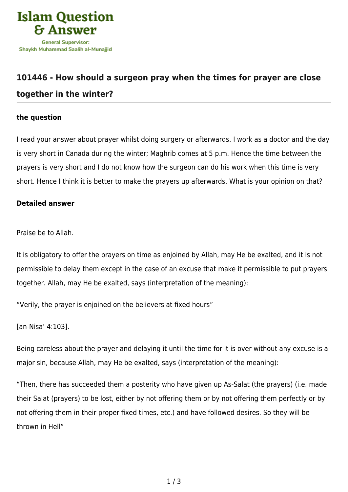

## **[101446 - How should a surgeon pray when the times for prayer are close](https://islamqa.com/en/answers/101446/how-should-a-surgeon-pray-when-the-times-for-prayer-are-close-together-in-the-winter) [together in the winter?](https://islamqa.com/en/answers/101446/how-should-a-surgeon-pray-when-the-times-for-prayer-are-close-together-in-the-winter)**

## **the question**

I read your answer about prayer whilst doing surgery or afterwards. I work as a doctor and the day is very short in Canada during the winter; Maghrib comes at 5 p.m. Hence the time between the prayers is very short and I do not know how the surgeon can do his work when this time is very short. Hence I think it is better to make the prayers up afterwards. What is your opinion on that?

## **Detailed answer**

Praise be to Allah.

It is obligatory to offer the prayers on time as enjoined by Allah, may He be exalted, and it is not permissible to delay them except in the case of an excuse that make it permissible to put prayers together. Allah, may He be exalted, says (interpretation of the meaning):

"Verily, the prayer is enjoined on the believers at fixed hours"

[an-Nisa' 4:103].

Being careless about the prayer and delaying it until the time for it is over without any excuse is a major sin, because Allah, may He be exalted, says (interpretation of the meaning):

"Then, there has succeeded them a posterity who have given up As-Salat (the prayers) (i.e. made their Salat (prayers) to be lost, either by not offering them or by not offering them perfectly or by not offering them in their proper fixed times, etc.) and have followed desires. So they will be thrown in Hell"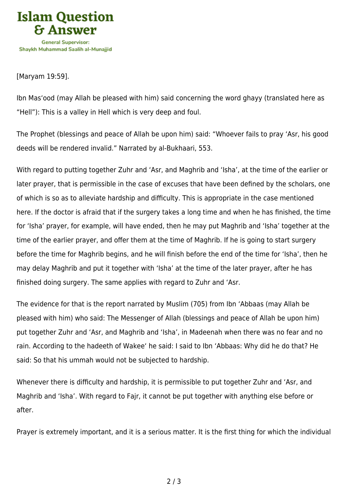

[Maryam 19:59].

Ibn Mas'ood (may Allah be pleased with him) said concerning the word ghayy (translated here as "Hell"): This is a valley in Hell which is very deep and foul.

The Prophet (blessings and peace of Allah be upon him) said: "Whoever fails to pray 'Asr, his good deeds will be rendered invalid." Narrated by al-Bukhaari, 553.

With regard to putting together Zuhr and 'Asr, and Maghrib and 'Isha', at the time of the earlier or later prayer, that is permissible in the case of excuses that have been defined by the scholars, one of which is so as to alleviate hardship and difficulty. This is appropriate in the case mentioned here. If the doctor is afraid that if the surgery takes a long time and when he has finished, the time for 'Isha' prayer, for example, will have ended, then he may put Maghrib and 'Isha' together at the time of the earlier prayer, and offer them at the time of Maghrib. If he is going to start surgery before the time for Maghrib begins, and he will finish before the end of the time for 'Isha', then he may delay Maghrib and put it together with 'Isha' at the time of the later prayer, after he has finished doing surgery. The same applies with regard to Zuhr and 'Asr.

The evidence for that is the report narrated by Muslim (705) from Ibn 'Abbaas (may Allah be pleased with him) who said: The Messenger of Allah (blessings and peace of Allah be upon him) put together Zuhr and 'Asr, and Maghrib and 'Isha', in Madeenah when there was no fear and no rain. According to the hadeeth of Wakee' he said: I said to Ibn 'Abbaas: Why did he do that? He said: So that his ummah would not be subjected to hardship.

Whenever there is difficulty and hardship, it is permissible to put together Zuhr and 'Asr, and Maghrib and 'Isha'. With regard to Fajr, it cannot be put together with anything else before or after.

Prayer is extremely important, and it is a serious matter. It is the first thing for which the individual